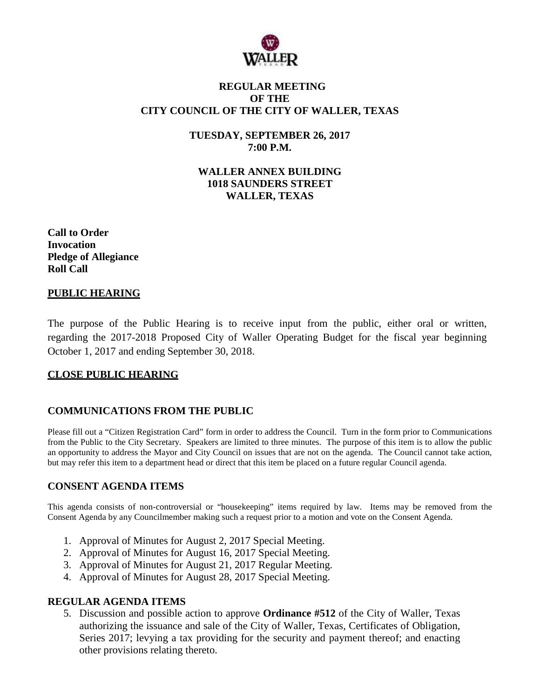

# **REGULAR MEETING OF THE CITY COUNCIL OF THE CITY OF WALLER, TEXAS**

**TUESDAY, SEPTEMBER 26, 2017 7:00 P.M.**

**WALLER ANNEX BUILDING 1018 SAUNDERS STREET WALLER, TEXAS**

**Call to Order Invocation Pledge of Allegiance Roll Call**

# **PUBLIC HEARING**

The purpose of the Public Hearing is to receive input from the public, either oral or written, regarding the 2017-2018 Proposed City of Waller Operating Budget for the fiscal year beginning October 1, 2017 and ending September 30, 2018.

# **CLOSE PUBLIC HEARING**

# **COMMUNICATIONS FROM THE PUBLIC**

Please fill out a "Citizen Registration Card" form in order to address the Council. Turn in the form prior to Communications from the Public to the City Secretary. Speakers are limited to three minutes. The purpose of this item is to allow the public an opportunity to address the Mayor and City Council on issues that are not on the agenda. The Council cannot take action, but may refer this item to a department head or direct that this item be placed on a future regular Council agenda.

# **CONSENT AGENDA ITEMS**

This agenda consists of non-controversial or "housekeeping" items required by law. Items may be removed from the Consent Agenda by any Councilmember making such a request prior to a motion and vote on the Consent Agenda.

- 1. Approval of Minutes for August 2, 2017 Special Meeting.
- 2. Approval of Minutes for August 16, 2017 Special Meeting.
- 3. Approval of Minutes for August 21, 2017 Regular Meeting.
- 4. Approval of Minutes for August 28, 2017 Special Meeting.

### **REGULAR AGENDA ITEMS**

5. Discussion and possible action to approve **Ordinance #512** of the City of Waller, Texas authorizing the issuance and sale of the City of Waller, Texas, Certificates of Obligation, Series 2017; levying a tax providing for the security and payment thereof; and enacting other provisions relating thereto.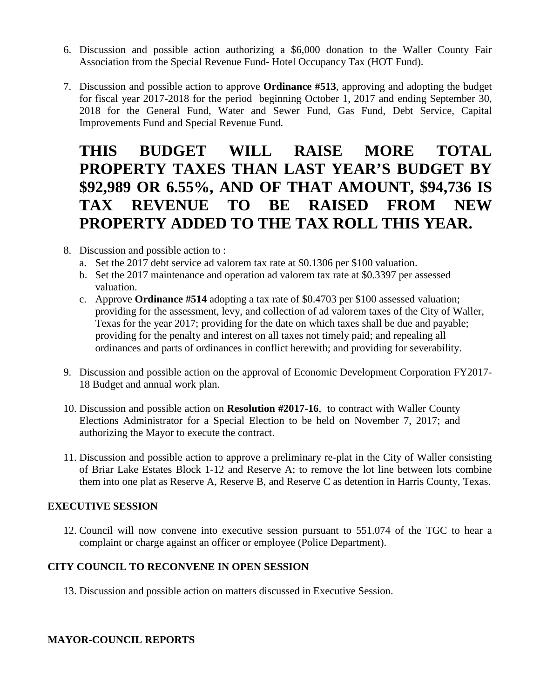- 6. Discussion and possible action authorizing a \$6,000 donation to the Waller County Fair Association from the Special Revenue Fund- Hotel Occupancy Tax (HOT Fund).
- 7. Discussion and possible action to approve **Ordinance #513**, approving and adopting the budget for fiscal year 2017-2018 for the period beginning October 1, 2017 and ending September 30, 2018 for the General Fund, Water and Sewer Fund, Gas Fund, Debt Service, Capital Improvements Fund and Special Revenue Fund.

# **THIS BUDGET WILL RAISE MORE TOTAL PROPERTY TAXES THAN LAST YEAR'S BUDGET BY \$92,989 OR 6.55%, AND OF THAT AMOUNT, \$94,736 IS TAX REVENUE TO BE RAISED FROM NEW PROPERTY ADDED TO THE TAX ROLL THIS YEAR.**

- 8. Discussion and possible action to :
	- a. Set the 2017 debt service ad valorem tax rate at \$0.1306 per \$100 valuation.
	- b. Set the 2017 maintenance and operation ad valorem tax rate at \$0.3397 per assessed valuation.
	- c. Approve **Ordinance #514** adopting a tax rate of \$0.4703 per \$100 assessed valuation; providing for the assessment, levy, and collection of ad valorem taxes of the City of Waller, Texas for the year 2017; providing for the date on which taxes shall be due and payable; providing for the penalty and interest on all taxes not timely paid; and repealing all ordinances and parts of ordinances in conflict herewith; and providing for severability.
- 9. Discussion and possible action on the approval of Economic Development Corporation FY2017- 18 Budget and annual work plan.
- 10. Discussion and possible action on **Resolution #2017-16**, to contract with Waller County Elections Administrator for a Special Election to be held on November 7, 2017; and authorizing the Mayor to execute the contract.
- 11. Discussion and possible action to approve a preliminary re-plat in the City of Waller consisting of Briar Lake Estates Block 1-12 and Reserve A; to remove the lot line between lots combine them into one plat as Reserve A, Reserve B, and Reserve C as detention in Harris County, Texas.

# **EXECUTIVE SESSION**

12. Council will now convene into executive session pursuant to 551.074 of the TGC to hear a complaint or charge against an officer or employee (Police Department).

# **CITY COUNCIL TO RECONVENE IN OPEN SESSION**

13. Discussion and possible action on matters discussed in Executive Session.

# **MAYOR-COUNCIL REPORTS**